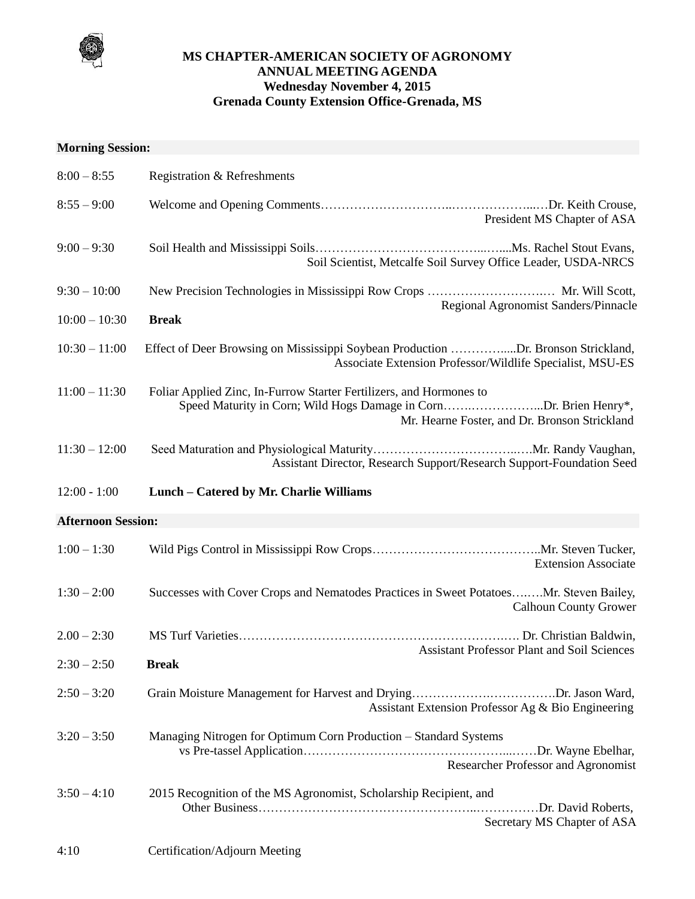

## **MS CHAPTER-AMERICAN SOCIETY OF AGRONOMY ANNUAL MEETING AGENDA Wednesday November 4, 2015 Grenada County Extension Office-Grenada, MS**

## **Morning Session:**

| $8:00 - 8:55$             | Registration & Refreshments                                                                                                                                                               |
|---------------------------|-------------------------------------------------------------------------------------------------------------------------------------------------------------------------------------------|
| $8:55 - 9:00$             | President MS Chapter of ASA                                                                                                                                                               |
| $9:00 - 9:30$             | Soil Scientist, Metcalfe Soil Survey Office Leader, USDA-NRCS                                                                                                                             |
| $9:30 - 10:00$            | New Precision Technologies in Mississippi Row Crops  Mr. Will Scott,                                                                                                                      |
| $10:00 - 10:30$           | Regional Agronomist Sanders/Pinnacle<br><b>Break</b>                                                                                                                                      |
| $10:30 - 11:00$           | Effect of Deer Browsing on Mississippi Soybean Production Dr. Bronson Strickland,<br>Associate Extension Professor/Wildlife Specialist, MSU-ES                                            |
| $11:00 - 11:30$           | Foliar Applied Zinc, In-Furrow Starter Fertilizers, and Hormones to<br>Speed Maturity in Corn; Wild Hogs Damage in CornDr. Brien Henry*,<br>Mr. Hearne Foster, and Dr. Bronson Strickland |
| $11:30 - 12:00$           | Assistant Director, Research Support/Research Support-Foundation Seed                                                                                                                     |
| $12:00 - 1:00$            | Lunch - Catered by Mr. Charlie Williams                                                                                                                                                   |
| <b>Afternoon Session:</b> |                                                                                                                                                                                           |
| $1:00 - 1:30$             | <b>Extension Associate</b>                                                                                                                                                                |
| $1:30 - 2:00$             | Successes with Cover Crops and Nematodes Practices in Sweet PotatoesMr. Steven Bailey,<br><b>Calhoun County Grower</b>                                                                    |
| $2.00 - 2:30$             | <b>Assistant Professor Plant and Soil Sciences</b>                                                                                                                                        |
| $2:30 - 2:50$             | <b>Break</b>                                                                                                                                                                              |
| $2:50 - 3:20$             | Assistant Extension Professor Ag & Bio Engineering                                                                                                                                        |
| $3:20 - 3:50$             | Managing Nitrogen for Optimum Corn Production - Standard Systems<br>Researcher Professor and Agronomist                                                                                   |
| $3:50 - 4:10$             | 2015 Recognition of the MS Agronomist, Scholarship Recipient, and<br>Secretary MS Chapter of ASA                                                                                          |
| 4:10                      | Certification/Adjourn Meeting                                                                                                                                                             |